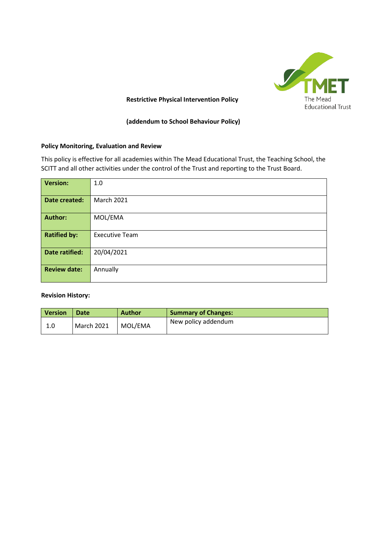

### **Restrictive Physical Intervention Policy**

**(addendum to School Behaviour Policy)**

### **Policy Monitoring, Evaluation and Review**

This policy is effective for all academies within The Mead Educational Trust, the Teaching School, the SCITT and all other activities under the control of the Trust and reporting to the Trust Board.

| <b>Version:</b>       | 1.0                   |
|-----------------------|-----------------------|
| Date created:         | <b>March 2021</b>     |
| <b>Author:</b>        | MOL/EMA               |
| <b>Ratified by:</b>   | <b>Executive Team</b> |
| <b>Date ratified:</b> | 20/04/2021            |
| <b>Review date:</b>   | Annually              |

#### **Revision History:**

| <b>Version</b> | <b>Date</b>       | <b>Author</b> | <b>Summary of Changes:</b> |
|----------------|-------------------|---------------|----------------------------|
| 1.0            | <b>March 2021</b> | MOL/EMA       | New policy addendum        |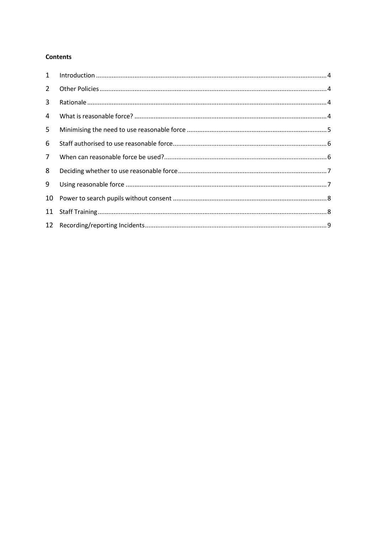## Contents

| $2^{\circ}$ |  |
|-------------|--|
| 3           |  |
| 4           |  |
| 5           |  |
| 6           |  |
| $7^{\circ}$ |  |
| 8           |  |
| 9           |  |
| 10          |  |
| 11          |  |
|             |  |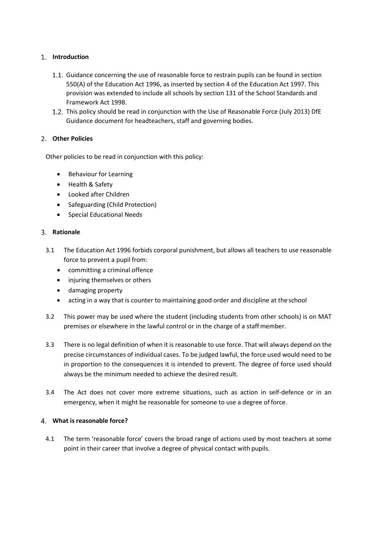# <span id="page-2-0"></span>**Introduction**

- 1.1. Guidance concerning the use of reasonable force to restrain pupils can be found in section 550(A) of the Education Act 1996, as inserted by section 4 of the Education Act 1997. This provision was extended to include all schools by section 131 of the School Standards and Framework Act 1998.
- 1.2. This policy should be read in conjunction with the Use of Reasonable Force (July 2013) DfE Guidance document for headteachers, staff and governing bodies.

# <span id="page-2-1"></span>**Other Policies**

Other policies to be read in conjunction with this policy:

- Behaviour for Learning
- Health & Safety
- Looked after Children
- Safeguarding (Child Protection)
- Special Educational Needs

### <span id="page-2-2"></span>**Rationale**

- 3.1 The Education Act 1996 forbids corporal punishment, but allows all teachers to use reasonable force to prevent a pupil from:
	- committing a criminal offence
	- injuring themselves or others
	- damaging property
	- acting in a way that is counter to maintaining good order and discipline at the school
- 3.2 This power may be used where the student (including students from other schools) is on MAT premises or elsewhere in the lawful control or in the charge of a staffmember.
- 3.3 There is no legal definition of when it is reasonable to use force. That will always depend on the precise circumstances of individual cases. To be judged lawful, the force used would need to be in proportion to the consequences it is intended to prevent. The degree of force used should always be the minimum needed to achieve the desired result.
- 3.4 The Act does not cover more extreme situations, such as action in self-defence or in an emergency, when it might be reasonable for someone to use a degree of force.

## <span id="page-2-3"></span>**What is reasonable force?**

4.1 The term 'reasonable force' covers the broad range of actions used by most teachers at some point in their career that involve a degree of physical contact with pupils.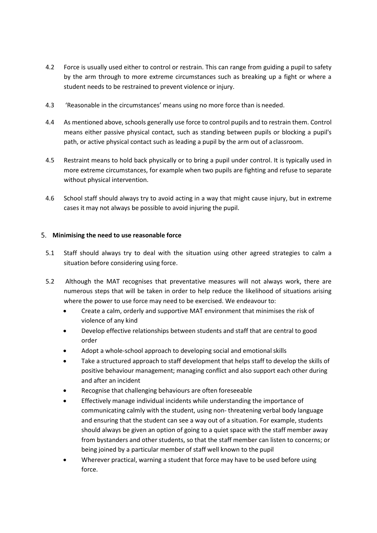- 4.2 Force is usually used either to control or restrain. This can range from guiding a pupil to safety by the arm through to more extreme circumstances such as breaking up a fight or where a student needs to be restrained to prevent violence or injury.
- 4.3 'Reasonable in the circumstances' means using no more force than is needed.
- 4.4 As mentioned above, schools generally use force to control pupils and to restrain them. Control means either passive physical contact, such as standing between pupils or blocking a pupil's path, or active physical contact such as leading a pupil by the arm out of aclassroom.
- 4.5 Restraint means to hold back physically or to bring a pupil under control. It is typically used in more extreme circumstances, for example when two pupils are fighting and refuse to separate without physical intervention.
- 4.6 School staff should always try to avoid acting in a way that might cause injury, but in extreme cases it may not always be possible to avoid injuring the pupil.

# <span id="page-3-0"></span>**Minimising the need to use reasonable force**

- 5.1 Staff should always try to deal with the situation using other agreed strategies to calm a situation before considering using force.
- 5.2 Although the MAT recognises that preventative measures will not always work, there are numerous steps that will be taken in order to help reduce the likelihood of situations arising where the power to use force may need to be exercised. We endeavour to:
	- Create a calm, orderly and supportive MAT environment that minimises the risk of violence of any kind
	- Develop effective relationships between students and staff that are central to good order
	- Adopt a whole‐school approach to developing social and emotional skills
	- Take a structured approach to staff development that helps staff to develop the skills of positive behaviour management; managing conflict and also support each other during and after an incident
	- Recognise that challenging behaviours are often foreseeable
	- Effectively manage individual incidents while understanding the importance of communicating calmly with the student, using non‐ threatening verbal body language and ensuring that the student can see a way out of a situation. For example, students should always be given an option of going to a quiet space with the staff member away from bystanders and other students, so that the staff member can listen to concerns; or being joined by a particular member of staff well known to the pupil
	- Wherever practical, warning a student that force may have to be used before using force.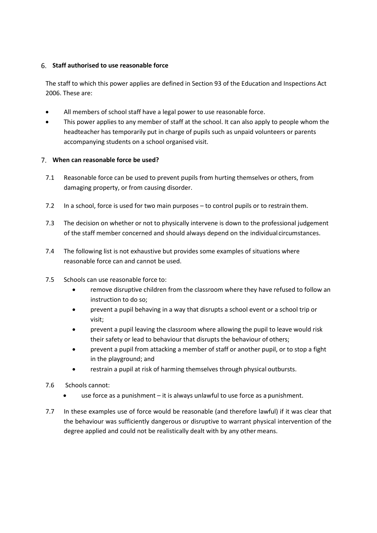## <span id="page-4-0"></span>**Staff authorised to use reasonable force**

The staff to which this power applies are defined in Section 93 of the Education and Inspections Act 2006. These are:

- All members of school staff have a legal power to use reasonable force.
- This power applies to any member of staff at the school. It can also apply to people whom the headteacher has temporarily put in charge of pupils such as unpaid volunteers or parents accompanying students on a school organised visit.

## <span id="page-4-1"></span>**When can reasonable force be used?**

- 7.1 Reasonable force can be used to prevent pupils from hurting themselves or others, from damaging property, or from causing disorder.
- 7.2 In a school, force is used for two main purposes to control pupils or to restrainthem.
- 7.3 The decision on whether or not to physically intervene is down to the professional judgement of the staff member concerned and should always depend on the individual circumstances.
- 7.4 The following list is not exhaustive but provides some examples of situations where reasonable force can and cannot be used.
- 7.5 Schools can use reasonable force to:
	- remove disruptive children from the classroom where they have refused to follow an instruction to do so;
	- prevent a pupil behaving in a way that disrupts a school event or a school trip or visit;
	- prevent a pupil leaving the classroom where allowing the pupil to leave would risk their safety or lead to behaviour that disrupts the behaviour of others;
	- prevent a pupil from attacking a member of staff or another pupil, or to stop a fight in the playground; and
	- restrain a pupil at risk of harming themselves through physical outbursts.
- 7.6 Schools cannot:
	- use force as a punishment it is always unlawful to use force as a punishment.
- 7.7 In these examples use of force would be reasonable (and therefore lawful) if it was clear that the behaviour was sufficiently dangerous or disruptive to warrant physical intervention of the degree applied and could not be realistically dealt with by any other means.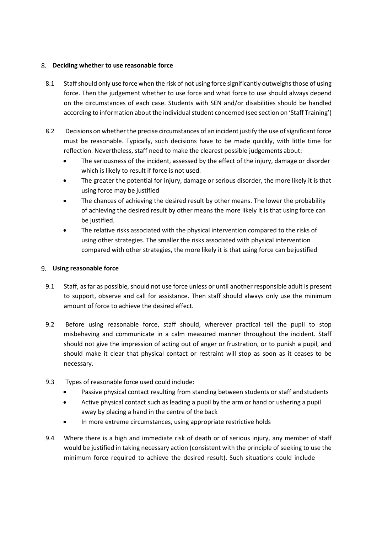## <span id="page-5-0"></span>**Deciding whether to use reasonable force**

- 8.1 Staff should only use force when the risk of not using force significantly outweighs those of using force. Then the judgement whether to use force and what force to use should always depend on the circumstances of each case. Students with SEN and/or disabilities should be handled according to information about the individual student concerned (see section on 'Staff Training')
- 8.2 Decisions on whether the precise circumstances of an incident justify the use of significant force must be reasonable. Typically, such decisions have to be made quickly, with little time for reflection. Nevertheless, staff need to make the clearest possible judgements about:
	- The seriousness of the incident, assessed by the effect of the injury, damage or disorder which is likely to result if force is not used.
	- The greater the potential for injury, damage or serious disorder, the more likely it is that using force may be justified
	- The chances of achieving the desired result by other means. The lower the probability of achieving the desired result by other means the more likely it is that using force can be justified.
	- The relative risks associated with the physical intervention compared to the risks of using other strategies. The smaller the risks associated with physical intervention compared with other strategies, the more likely it is that using force can bejustified

## <span id="page-5-1"></span>**Using reasonable force**

- 9.1 Staff, as far as possible, should not use force unless or until another responsible adult is present to support, observe and call for assistance. Then staff should always only use the minimum amount of force to achieve the desired effect.
- 9.2 Before using reasonable force, staff should, wherever practical tell the pupil to stop misbehaving and communicate in a calm measured manner throughout the incident. Staff should not give the impression of acting out of anger or frustration, or to punish a pupil, and should make it clear that physical contact or restraint will stop as soon as it ceases to be necessary.
- 9.3 Types of reasonable force used could include:
	- Passive physical contact resulting from standing between students or staff and students
	- Active physical contact such as leading a pupil by the arm or hand or ushering a pupil away by placing a hand in the centre of the back
	- In more extreme circumstances, using appropriate restrictive holds
- 9.4 Where there is a high and immediate risk of death or of serious injury, any member of staff would be justified in taking necessary action (consistent with the principle of seeking to use the minimum force required to achieve the desired result). Such situations could include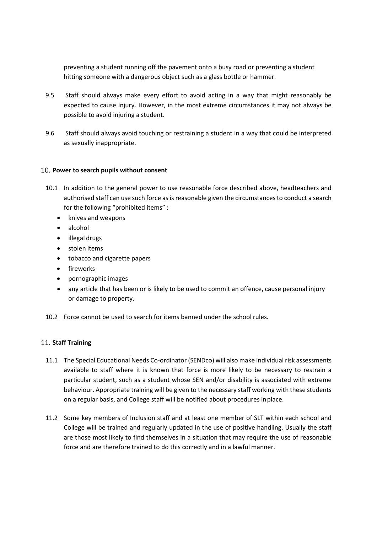preventing a student running off the pavement onto a busy road or preventing a student hitting someone with a dangerous object such as a glass bottle or hammer.

- 9.5 Staff should always make every effort to avoid acting in a way that might reasonably be expected to cause injury. However, in the most extreme circumstances it may not always be possible to avoid injuring a student.
- 9.6 Staff should always avoid touching or restraining a student in a way that could be interpreted as sexually inappropriate.

### <span id="page-6-0"></span>**Power to search pupils without consent**

- 10.1 In addition to the general power to use reasonable force described above, headteachers and authorised staff can use such force as is reasonable given the circumstances to conduct a search for the following "prohibited items" :
	- knives and weapons
	- alcohol
	- illegal drugs
	- stolen items
	- tobacco and cigarette papers
	- fireworks
	- pornographic images
	- any article that has been or is likely to be used to commit an offence, cause personal injury or damage to property.
- 10.2 Force cannot be used to search for items banned under the school rules.

## <span id="page-6-1"></span>11. Staff Training

- 11.1 The Special Educational Needs Co-ordinator (SENDco) will also make individual risk assessments available to staff where it is known that force is more likely to be necessary to restrain a particular student, such as a student whose SEN and/or disability is associated with extreme behaviour. Appropriate training will be given to the necessary staff working with these students on a regular basis, and College staff will be notified about procedures inplace.
- 11.2 Some key members of Inclusion staff and at least one member of SLT within each school and College will be trained and regularly updated in the use of positive handling. Usually the staff are those most likely to find themselves in a situation that may require the use of reasonable force and are therefore trained to do this correctly and in a lawful manner.